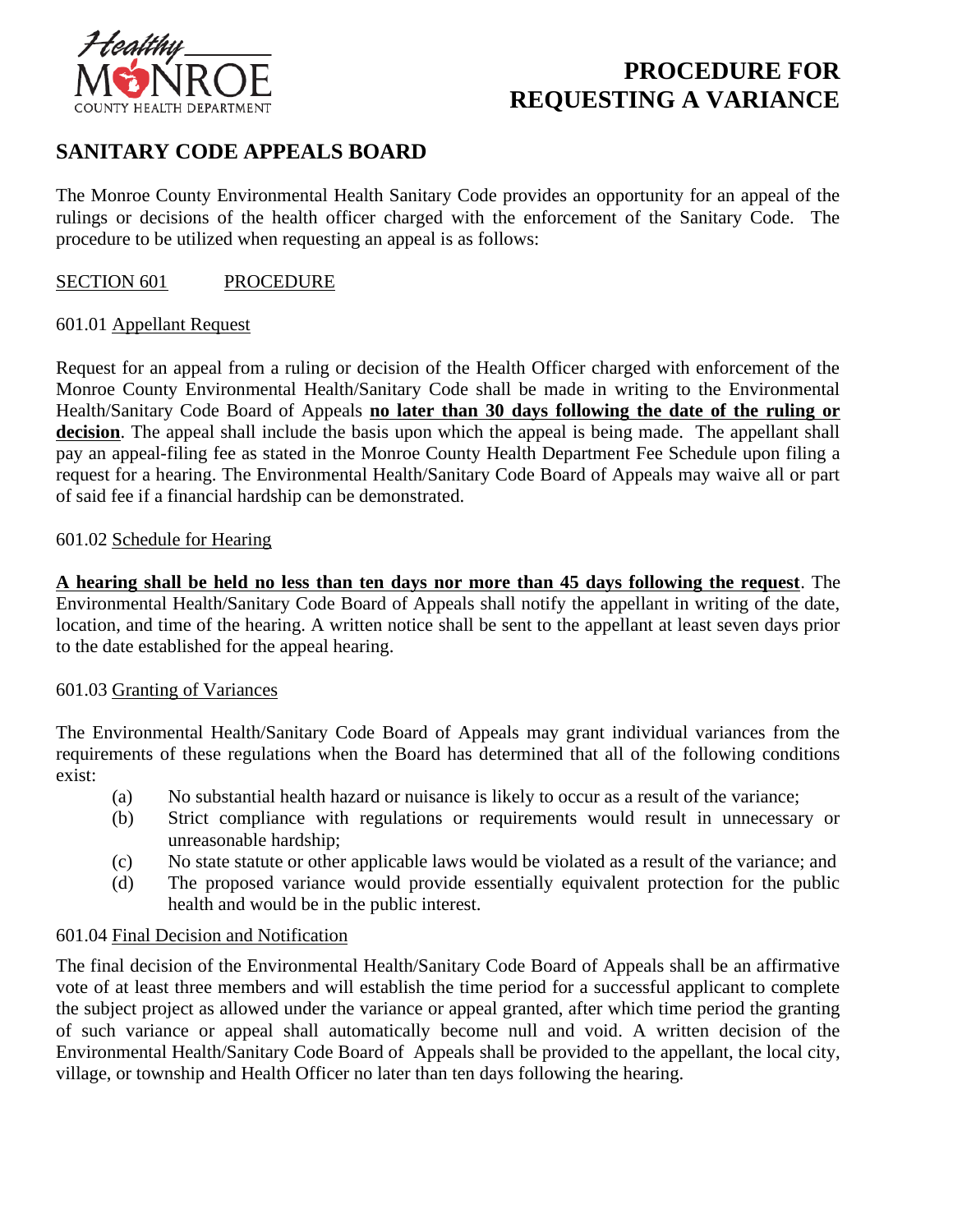

# **PROCEDURE FOR REQUESTING A VARIANCE**

## **SANITARY CODE APPEALS BOARD**

The Monroe County Environmental Health Sanitary Code provides an opportunity for an appeal of the rulings or decisions of the health officer charged with the enforcement of the Sanitary Code. The procedure to be utilized when requesting an appeal is as follows:

### SECTION 601 PROCEDURE

### 601.01 Appellant Request

Request for an appeal from a ruling or decision of the Health Officer charged with enforcement of the Monroe County Environmental Health/Sanitary Code shall be made in writing to the Environmental Health/Sanitary Code Board of Appeals **no later than 30 days following the date of the ruling or**  decision. The appeal shall include the basis upon which the appeal is being made. The appellant shall pay an appeal-filing fee as stated in the Monroe County Health Department Fee Schedule upon filing a request for a hearing. The Environmental Health/Sanitary Code Board of Appeals may waive all or part of said fee if a financial hardship can be demonstrated.

### 601.02 Schedule for Hearing

**A hearing shall be held no less than ten days nor more than 45 days following the request**. The Environmental Health/Sanitary Code Board of Appeals shall notify the appellant in writing of the date, location, and time of the hearing. A written notice shall be sent to the appellant at least seven days prior to the date established for the appeal hearing.

### 601.03 Granting of Variances

The Environmental Health/Sanitary Code Board of Appeals may grant individual variances from the requirements of these regulations when the Board has determined that all of the following conditions exist:

- (a) No substantial health hazard or nuisance is likely to occur as a result of the variance;
- (b) Strict compliance with regulations or requirements would result in unnecessary or unreasonable hardship;
- (c) No state statute or other applicable laws would be violated as a result of the variance; and
- (d) The proposed variance would provide essentially equivalent protection for the public health and would be in the public interest.

### 601.04 Final Decision and Notification

The final decision of the Environmental Health/Sanitary Code Board of Appeals shall be an affirmative vote of at least three members and will establish the time period for a successful applicant to complete the subject project as allowed under the variance or appeal granted, after which time period the granting of such variance or appeal shall automatically become null and void. A written decision of the Environmental Health/Sanitary Code Board of Appeals shall be provided to the appellant, the local city, village, or township and Health Officer no later than ten days following the hearing.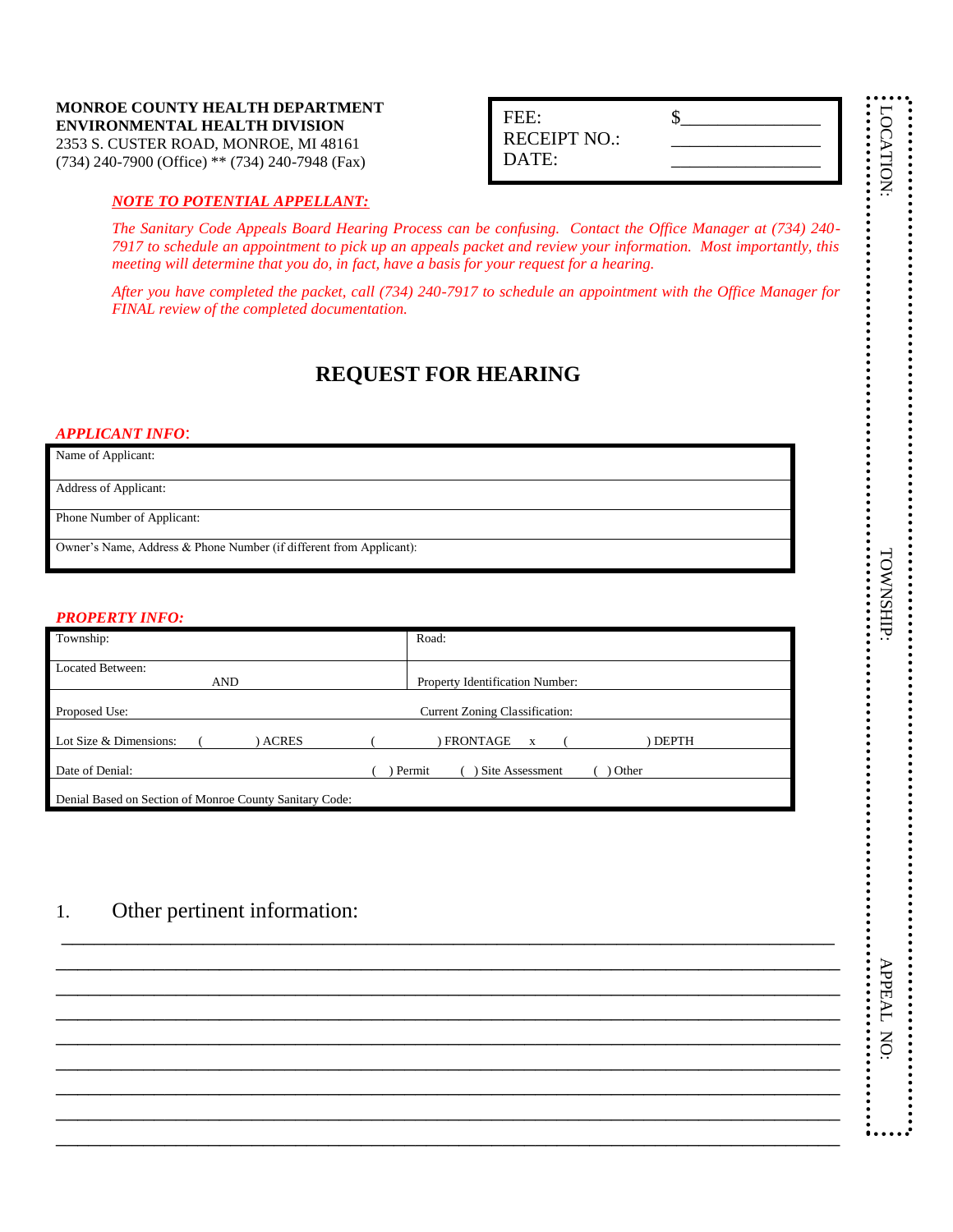#### **MONROE COUNTY HEALTH DEPARTMENT ENVIRONMENTAL HEALTH DIVISION** 2353 S. CUSTER ROAD, MONROE, MI 48161 (734) 240-7900 (Office) \*\* (734) 240-7948 (Fax)

## *NOTE TO POTENTIAL APPELLANT:*

*The Sanitary Code Appeals Board Hearing Process can be confusing. Contact the Office Manager at (734) 240- 7917 to schedule an appointment to pick up an appeals packet and review your information. Most importantly, this meeting will determine that you do, in fact, have a basis for your request for a hearing.*

*After you have completed the packet, call (734) 240-7917 to schedule an appointment with the Office Manager for FINAL review of the completed documentation.*

## **REQUEST FOR HEARING**

#### *APPLICANT INFO*:

Name of Applicant:

Address of Applicant:

Phone Number of Applicant:

Owner's Name, Address & Phone Number (if different from Applicant):

#### *PROPERTY INFO:*

| Township:                                               | Road:                                                 |  |  |
|---------------------------------------------------------|-------------------------------------------------------|--|--|
| Located Between:<br><b>AND</b>                          | <b>Property Identification Number:</b>                |  |  |
| Proposed Use:                                           | <b>Current Zoning Classification:</b>                 |  |  |
| Lot Size & Dimensions:<br><b>ACRES</b>                  | FRONTAGE<br><b>DEPTH</b><br>$\boldsymbol{\mathrm{x}}$ |  |  |
| Date of Denial:                                         | Other<br>Site Assessment<br>Permit                    |  |  |
| Denial Based on Section of Monroe County Sanitary Code: |                                                       |  |  |

\_\_\_\_\_\_\_\_\_\_\_\_\_\_\_\_\_\_\_\_\_\_\_\_\_\_\_\_\_\_\_\_\_\_\_\_\_\_\_\_\_\_\_\_\_\_\_\_\_\_\_\_\_\_\_\_\_\_\_\_\_\_\_\_\_\_\_\_\_\_\_ \_\_\_\_\_\_\_\_\_\_\_\_\_\_\_\_\_\_\_\_\_\_\_\_\_\_\_\_\_\_\_\_\_\_\_\_\_\_\_\_\_\_\_\_\_\_\_\_\_\_\_\_\_\_\_\_\_\_\_\_\_\_\_\_\_\_\_\_\_\_\_\_ \_\_\_\_\_\_\_\_\_\_\_\_\_\_\_\_\_\_\_\_\_\_\_\_\_\_\_\_\_\_\_\_\_\_\_\_\_\_\_\_\_\_\_\_\_\_\_\_\_\_\_\_\_\_\_\_\_\_\_\_\_\_\_\_\_\_\_\_\_\_\_\_ \_\_\_\_\_\_\_\_\_\_\_\_\_\_\_\_\_\_\_\_\_\_\_\_\_\_\_\_\_\_\_\_\_\_\_\_\_\_\_\_\_\_\_\_\_\_\_\_\_\_\_\_\_\_\_\_\_\_\_\_\_\_\_\_\_\_\_\_\_\_\_\_ \_\_\_\_\_\_\_\_\_\_\_\_\_\_\_\_\_\_\_\_\_\_\_\_\_\_\_\_\_\_\_\_\_\_\_\_\_\_\_\_\_\_\_\_\_\_\_\_\_\_\_\_\_\_\_\_\_\_\_\_\_\_\_\_\_\_\_\_\_\_\_\_  $\overline{a_1}$  ,  $\overline{a_2}$  ,  $\overline{a_3}$  ,  $\overline{a_4}$  ,  $\overline{a_5}$  ,  $\overline{a_6}$  ,  $\overline{a_7}$  ,  $\overline{a_8}$  ,  $\overline{a_9}$  ,  $\overline{a_9}$  ,  $\overline{a_9}$  ,  $\overline{a_9}$  ,  $\overline{a_9}$  ,  $\overline{a_9}$  ,  $\overline{a_9}$  ,  $\overline{a_9}$  ,  $\overline{a_9}$  ,  $\overline{a_1}$  ,  $\overline{a_2}$  ,  $\overline{a_3}$  ,  $\overline{a_4}$  ,  $\overline{a_5}$  ,  $\overline{a_6}$  ,  $\overline{a_7}$  ,  $\overline{a_8}$  ,  $\overline{a_9}$  ,  $\overline{a_9}$  ,  $\overline{a_9}$  ,  $\overline{a_9}$  ,  $\overline{a_9}$  ,  $\overline{a_9}$  ,  $\overline{a_9}$  ,  $\overline{a_9}$  ,  $\overline{a_9}$  ,  $\overline{a_1}$  ,  $\overline{a_2}$  ,  $\overline{a_3}$  ,  $\overline{a_4}$  ,  $\overline{a_5}$  ,  $\overline{a_6}$  ,  $\overline{a_7}$  ,  $\overline{a_8}$  ,  $\overline{a_9}$  ,  $\overline{a_9}$  ,  $\overline{a_9}$  ,  $\overline{a_9}$  ,  $\overline{a_9}$  ,  $\overline{a_9}$  ,  $\overline{a_9}$  ,  $\overline{a_9}$  ,  $\overline{a_9}$  , \_\_\_\_\_\_\_\_\_\_\_\_\_\_\_\_\_\_\_\_\_\_\_\_\_\_\_\_\_\_\_\_\_\_\_\_\_\_\_\_\_\_\_\_\_\_\_\_\_\_\_\_\_\_\_\_\_\_\_\_\_\_\_\_\_\_\_\_\_\_\_\_

## 1. Other pertinent information:

\_\_\_\_\_\_\_\_\_\_\_\_\_\_\_\_\_ LOCATION: \_\_\_\_\_\_\_\_\_\_\_\_\_\_\_\_\_\_\_\_\_\_\_\_\_\_\_\_\_\_\_\_\_\_\_\_\_\_\_\_ TOWNSHIP: \_\_\_\_\_\_\_\_\_\_\_\_\_\_\_\_\_\_\_\_\_\_\_\_\_\_\_\_\_\_\_\_\_\_\_\_ APPEAL NO:

APPEAL NO:

**TOWNSHIP:** 

LOCATION

| FEE:                |  |
|---------------------|--|
| <b>RECEIPT NO.:</b> |  |
| DATE:               |  |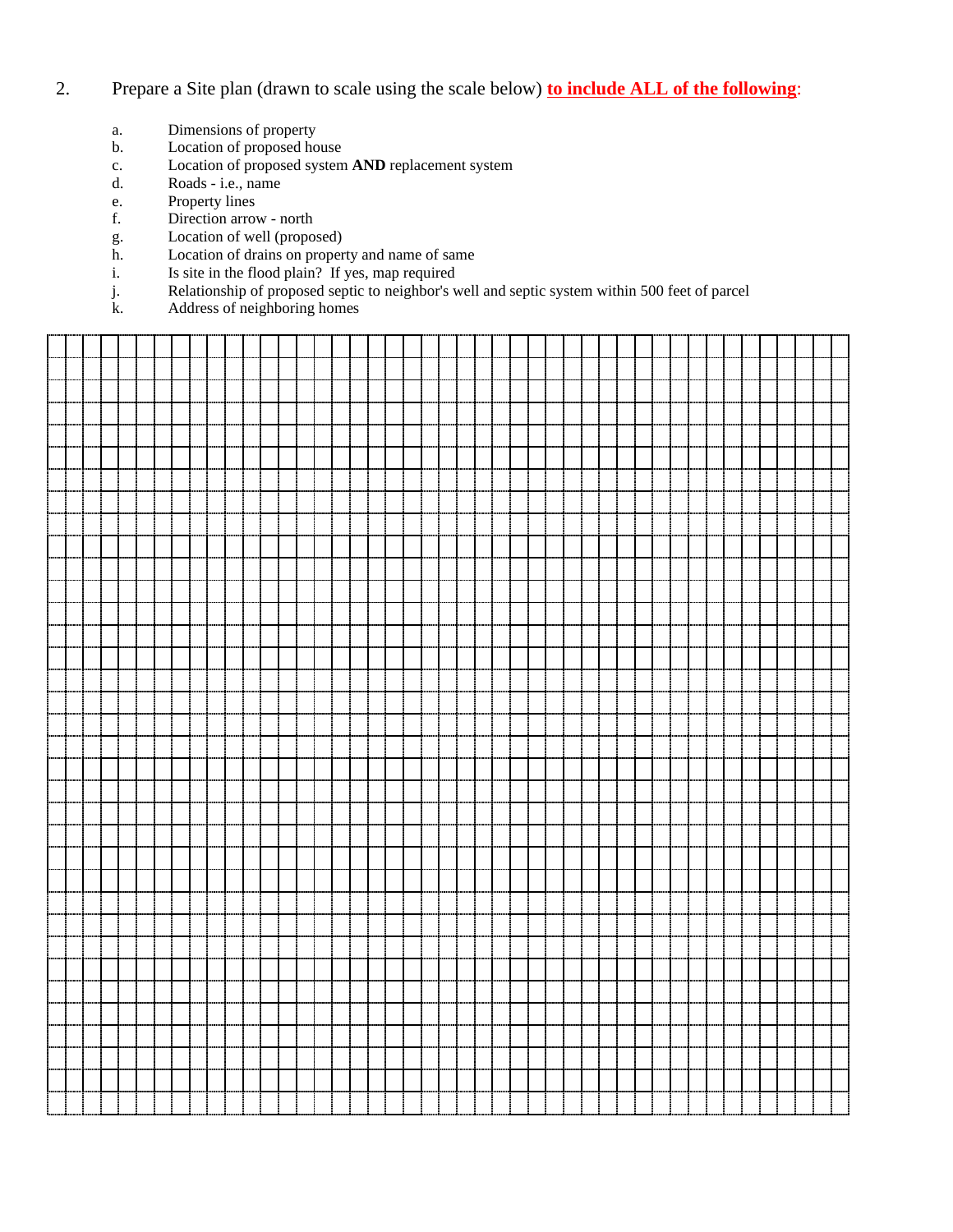- 2. Prepare a Site plan (drawn to scale using the scale below) **to include ALL of the following**:
	- a. Dimensions of property
	- b. Location of proposed house
	- c. Location of proposed system **AND** replacement system
	- d. Roads i.e., name
	- e. Property lines
	- f. Direction arrow north
	- g. Location of well (proposed)
	- h. Location of drains on property and name of same
	- i. Is site in the flood plain? If yes, map required
	- j. Relationship of proposed septic to neighbor's well and septic system within 500 feet of parcel
	- $\overrightarrow{k}$ . Address of neighboring homes

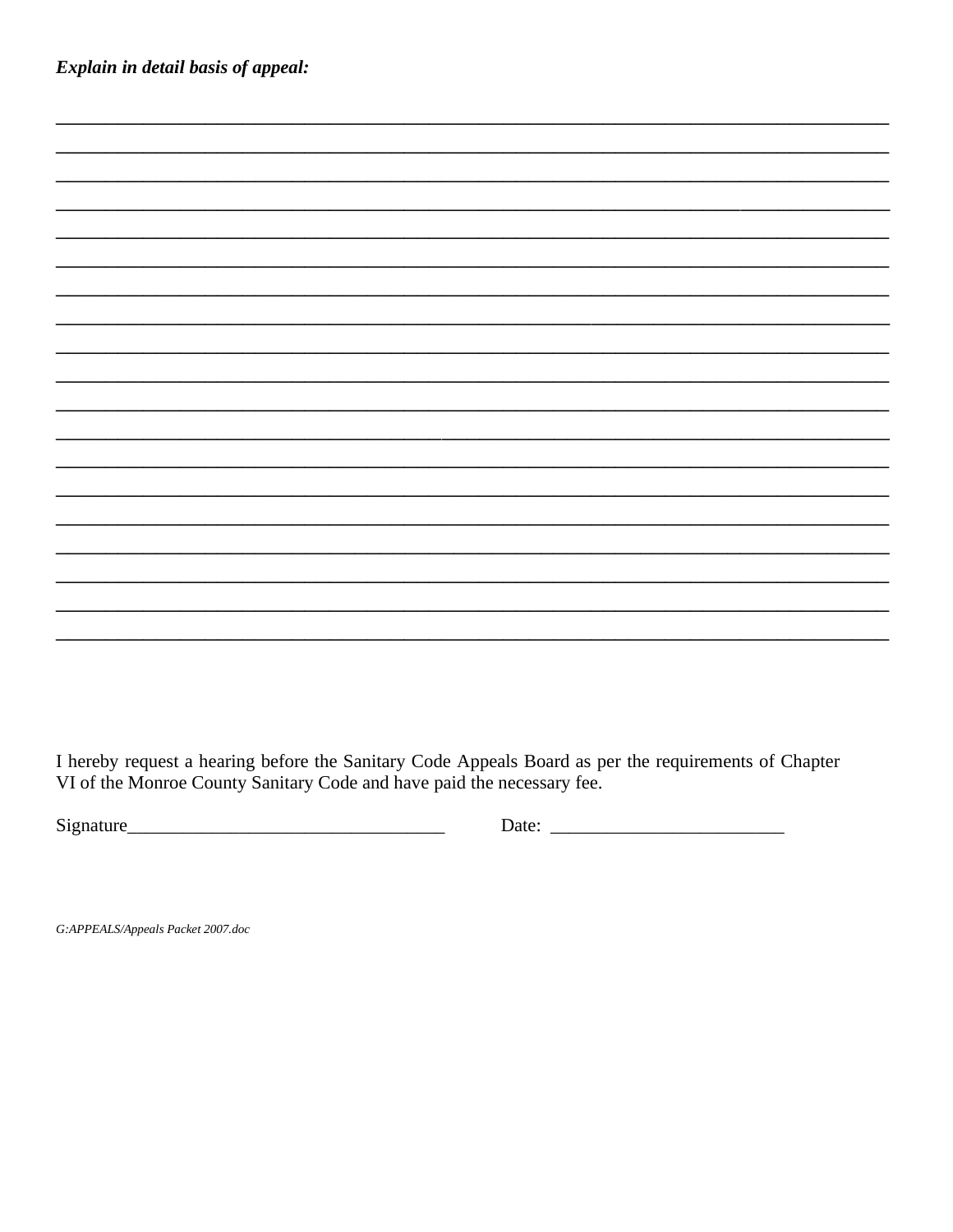Explain in detail basis of appeal:

I hereby request a hearing before the Sanitary Code Appeals Board as per the requirements of Chapter VI of the Monroe County Sanitary Code and have paid the necessary fee.

G:APPEALS/Appeals Packet 2007.doc